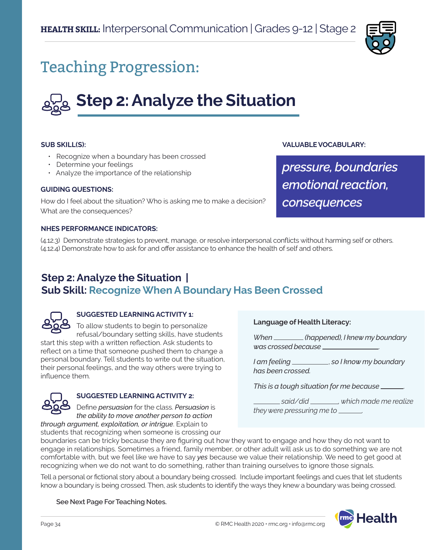

## Teaching Progression:

# **Step 2: Analyze the Situation**

#### **SUB SKILL(S):**

- Recognize when a boundary has been crossed
- Determine your feelings
- Analyze the importance of the relationship

#### **GUIDING QUESTIONS:**

How do I feel about the situation? Who is asking me to make a decision? What are the consequences?

### **VALUABLE VOCABULARY:**

*pressure, boundaries emotional reaction, consequences*

#### **NHES PERFORMANCE INDICATORS:**

(4.12.3) Demonstrate strategies to prevent, manage, or resolve interpersonal conflicts without harming self or others. (4.12.4) Demonstrate how to ask for and offer assistance to enhance the health of self and others.

### **Step 2: Analyze the Situation | Sub Skill: Recognize When A Boundary Has Been Crossed**



### **SUGGESTED LEARNING ACTIVITY 1:**

To allow students to begin to personalize refusal/boundary setting skills, have students start this step with a written reflection. Ask students to reflect on a time that someone pushed them to change a personal boundary. Tell students to write out the situation, their personal feelings, and the way others were trying to influence them.



### **SUGGESTED LEARNING ACTIVITY 2:**

Define *persuasion* for the class. *Persuasion* is *the ability to move another person to action through argument, exploitation, or intrigue*. Explain to

students that recognizing when someone is crossing our

### **Language of Health Literacy:**

*When (happened), I knew my boundary was crossed because* .

*I* am feeling \_\_\_\_\_\_\_\_\_, so I know my boundary *has been crossed.* 

*This is a tough situation for me because* .

 *said/did , which made me realize they were pressuring me to .*

boundaries can be tricky because they are figuring out how they want to engage and how they do not want to engage in relationships. Sometimes a friend, family member, or other adult will ask us to do something we are not comfortable with, but we feel like we have to say *yes* because we value their relationship. We need to get good at recognizing when we do not want to do something, rather than training ourselves to ignore those signals.

Tell a personal or fictional story about a boundary being crossed. Include important feelings and cues that let students know a boundary is being crossed. Then, ask students to identify the ways they knew a boundary was being crossed.

**See Next Page For Teaching Notes.**

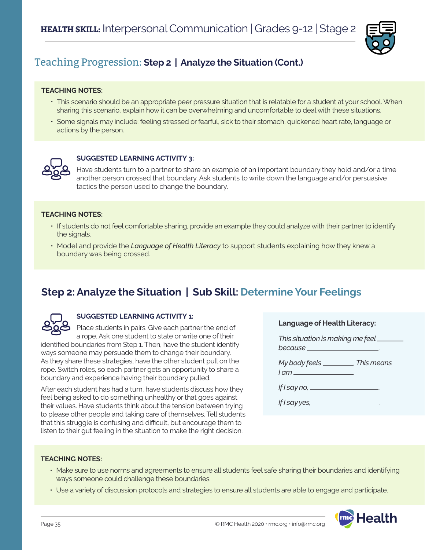

### Teaching Progression: **Step 2 | Analyze the Situation (Cont.)**

### **TEACHING NOTES:**

- This scenario should be an appropriate peer pressure situation that is relatable for a student at your school. When sharing this scenario, explain how it can be overwhelming and uncomfortable to deal with these situations.
- Some signals may include: feeling stressed or fearful, sick to their stomach, quickened heart rate, language or actions by the person.



### **SUGGESTED LEARNING ACTIVITY 3:**

Have students turn to a partner to share an example of an important boundary they hold and/or a time another person crossed that boundary. Ask students to write down the language and/or persuasive tactics the person used to change the boundary.

### **TEACHING NOTES:**

- If students do not feel comfortable sharing, provide an example they could analyze with their partner to identify the signals.
- Model and provide the *Language of Health Literacy* to support students explaining how they knew a boundary was being crossed.

### **Step 2: Analyze the Situation | Sub Skill: Determine Your Feelings**



### **SUGGESTED LEARNING ACTIVITY 1:**

Place students in pairs. Give each partner the end of a rope. Ask one student to state or write one of their identified boundaries from Step 1. Then, have the student identify ways someone may persuade them to change their boundary. As they share these strategies, have the other student pull on the

rope. Switch roles, so each partner gets an opportunity to share a boundary and experience having their boundary pulled.

After each student has had a turn, have students discuss how they feel being asked to do something unhealthy or that goes against their values. Have students think about the tension between trying to please other people and taking care of themselves. Tell students that this struggle is confusing and difficult, but encourage them to listen to their gut feeling in the situation to make the right decision.

| <b>Language of Health Literacy:</b> |  |
|-------------------------------------|--|
|-------------------------------------|--|

| This situation is making me feel __ |  |
|-------------------------------------|--|
| because_                            |  |

| My body feels | . This means |
|---------------|--------------|
| $1 \text{cm}$ |              |

| If I say no, |  |
|--------------|--|
|              |  |

*If I say yes,* .

### **TEACHING NOTES:**

- Make sure to use norms and agreements to ensure all students feel safe sharing their boundaries and identifying ways someone could challenge these boundaries.
- Use a variety of discussion protocols and strategies to ensure all students are able to engage and participate.

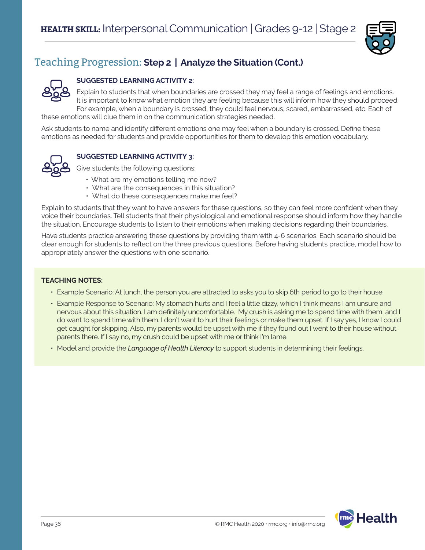

### Teaching Progression: **Step 2 | Analyze the Situation (Cont.)**

### **SUGGESTED LEARNING ACTIVITY 2:**

Explain to students that when boundaries are crossed they may feel a range of feelings and emotions. It is important to know what emotion they are feeling because this will inform how they should proceed. For example, when a boundary is crossed, they could feel nervous, scared, embarrassed, etc. Each of

these emotions will clue them in on the communication strategies needed.

Ask students to name and identify different emotions one may feel when a boundary is crossed. Define these emotions as needed for students and provide opportunities for them to develop this emotion vocabulary.



### **SUGGESTED LEARNING ACTIVITY 3:**

Give students the following questions:

- What are my emotions telling me now?
- What are the consequences in this situation?
- What do these consequences make me feel?

Explain to students that they want to have answers for these questions, so they can feel more confident when they voice their boundaries. Tell students that their physiological and emotional response should inform how they handle the situation. Encourage students to listen to their emotions when making decisions regarding their boundaries.

Have students practice answering these questions by providing them with 4-6 scenarios. Each scenario should be clear enough for students to reflect on the three previous questions. Before having students practice, model how to appropriately answer the questions with one scenario.

### **TEACHING NOTES:**

- Example Scenario: At lunch, the person you are attracted to asks you to skip 6th period to go to their house.
- Example Response to Scenario: My stomach hurts and I feel a little dizzy, which I think means I am unsure and nervous about this situation. I am definitely uncomfortable. My crush is asking me to spend time with them, and I do want to spend time with them. I don't want to hurt their feelings or make them upset. If I say yes, I know I could get caught for skipping. Also, my parents would be upset with me if they found out I went to their house without parents there. If I say no, my crush could be upset with me or think I'm lame.
- Model and provide the *Language of Health Literacy* to support students in determining their feelings.